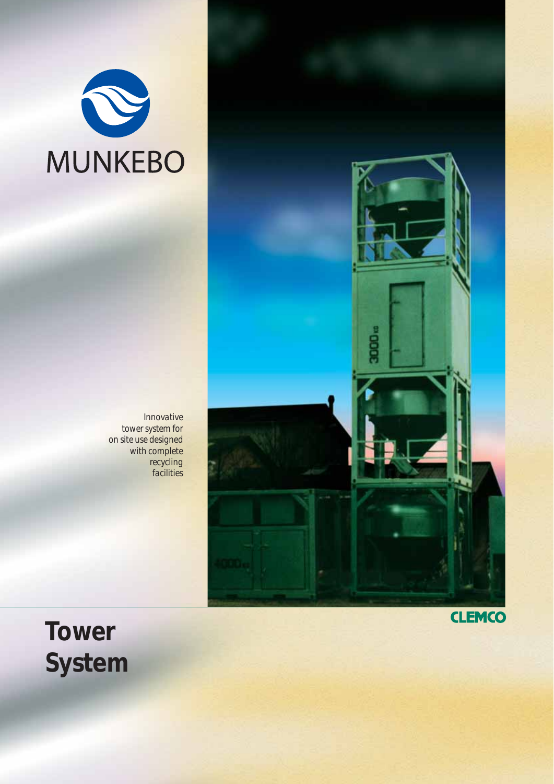

*Innovative tower system for on site use designed with complete recycling facilities*



**Tower System** **CLEMCO**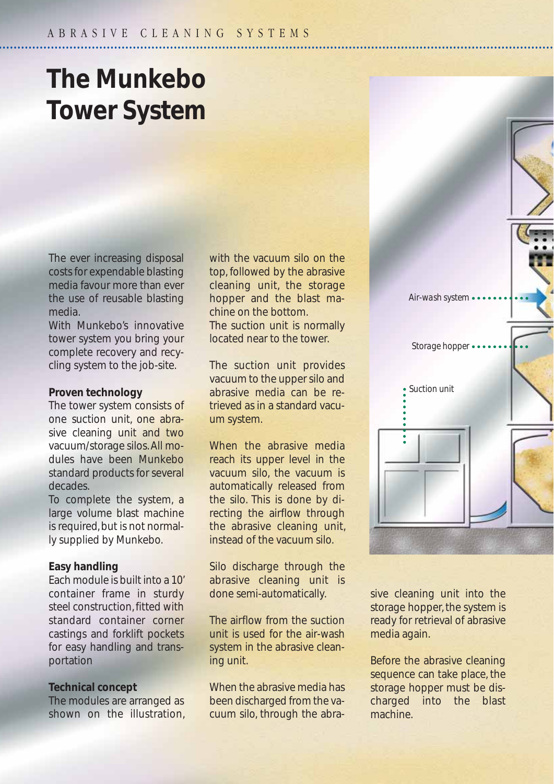# **The Munkebo Tower System**

The ever increasing disposal costs for expendable blasting media favour more than ever the use of reusable blasting media.

With Munkebo's innovative tower system you bring your complete recovery and recycling system to the job-site.

#### **Proven technology**

The tower system consists of one suction unit, one abrasive cleaning unit and two vacuum/storage silos. All modules have been Munkebo standard products for several decades.

To complete the system, a large volume blast machine is required, but is not normally supplied by Munkebo.

#### **Easy handling**

Each module is built into a 10' container frame in sturdy steel construction, fitted with standard container corner castings and forklift pockets for easy handling and transportation

#### **Technical concept**

The modules are arranged as shown on the illustration, with the vacuum silo on the top, followed by the abrasive cleaning unit, the storage hopper and the blast machine on the bottom.

The suction unit is normally located near to the tower.

The suction unit provides vacuum to the upper silo and abrasive media can be retrieved as in a standard vacuum system.

When the abrasive media reach its upper level in the vacuum silo, the vacuum is automatically released from the silo. This is done by directing the airflow through the abrasive cleaning unit, instead of the vacuum silo.

Silo discharge through the abrasive cleaning unit is done semi-automatically.

The airflow from the suction unit is used for the air-wash system in the abrasive cleaning unit.

When the abrasive media has been discharged from the vacuum silo, through the abrasive cleaning unit into the storage hopper, the system is ready for retrieval of abrasive media again.

*Suction unit*

*Air-wash system*

*Storage hopper*

Before the abrasive cleaning sequence can take place, the storage hopper must be discharged into the blast machine.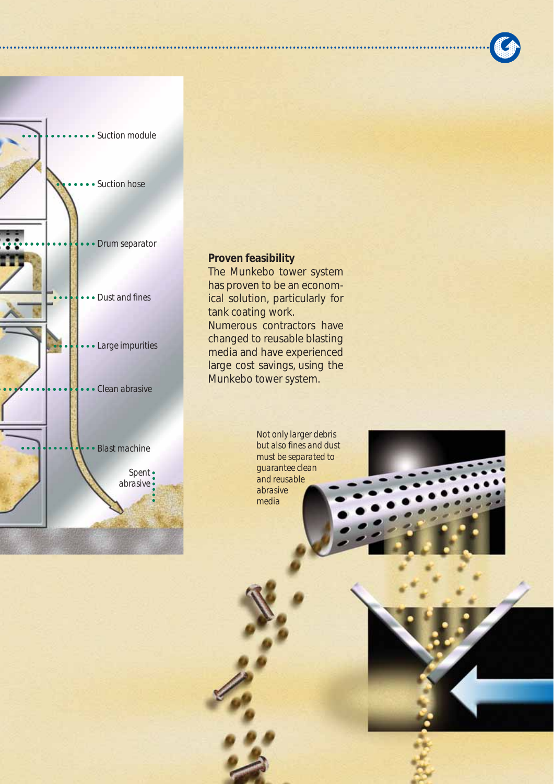

**Proven feasibility**

The Munkebo tower system has proven to be an economical solution, particularly for tank coating work. Numerous contractors have changed to reusable blasting media and have experienced large cost savings, using the Munkebo tower system.

> *Not only larger debris but also fines and dust must be separated to guarantee clean and reusable abrasive media*